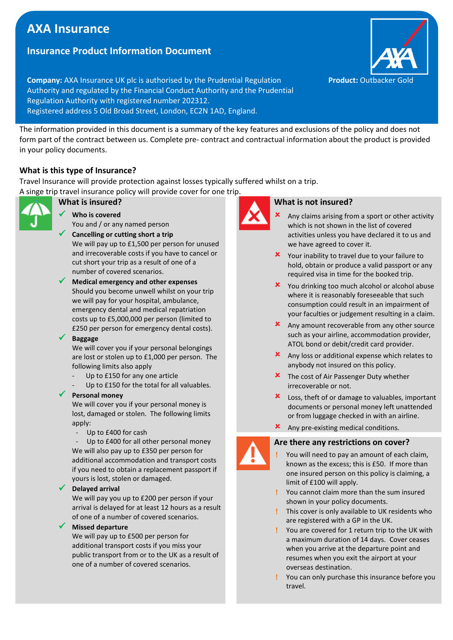# A **AXA Insurance**

## **Insurance Product Information Document**

**Company:** AXA Insurance UK plc is authorised by the Prudential Regulation **Product: Outbacker Gold** Authority and regulated by the Financial Conduct Authority and the Prudential Regulation Authority with registered number 202312. Registered address 5 Old Broad Street, London, EC2N 1AD, England.

The information provided in this document is a summary of the key features and exclusions of the policy and does not form part of the contract between us. Complete pre- contract and contractual information about the product is provided in your policy documents.

## **What is this type of Insurance?**

Travel Insurance will provide protection against losses typically suffered whilst on a trip.

A singe trip travel insurance policy will provide cover for one trip.



## **What is insured?**

- ✓ **Who is covered** You and / or any named person
- **Cancelling or cutting short a trip** We will pay up to £1,500 per person for unused and irrecoverable costs if you have to cancel or cut short your trip as a result of one of a number of covered scenarios.
- ✓ **Medical emergency and other expenses** Should you become unwell whilst on your trip we will pay for your hospital, ambulance, emergency dental and medical repatriation costs up to £5,000,000 per person (limited to £250 per person for emergency dental costs).

#### ✓ **Baggage**

We will cover you if your personal belongings are lost or stolen up to £1,000 per person. The following limits also apply

- Up to £150 for any one article
- Up to £150 for the total for all valuables.

## ✓ **Personal money**

We will cover you if your personal money is lost, damaged or stolen. The following limits apply:

Up to £400 for cash

Up to £400 for all other personal money We will also pay up to £350 per person for additional accommodation and transport costs if you need to obtain a replacement passport if yours is lost, stolen or damaged.

## ✓ **Delayed arrival**

We will pay you up to £200 per person if your arrival is delayed for at least 12 hours as a result of one of a number of covered scenarios.

## ✓ **Missed departure**

We will pay up to £500 per person for additional transport costs if you miss your public transport from or to the UK as a result of one of a number of covered scenarios.



## **What is not insured?**

- Any claims arising from a sport or other activity which is not shown in the list of covered activities unless you have declared it to us and we have agreed to cover it.
- **X** Your inability to travel due to your failure to hold, obtain or produce a valid passport or any required visa in time for the booked trip.
- **x** You drinking too much alcohol or alcohol abuse where it is reasonably foreseeable that such consumption could result in an impairment of your faculties or judgement resulting in a claim.
- **x** Any amount recoverable from any other source such as your airline, accommodation provider, ATOL bond or debit/credit card provider.
- Any loss or additional expense which relates to anybody not insured on this policy.
- **X** The cost of Air Passenger Duty whether irrecoverable or not.
- **X** Loss, theft of or damage to valuables, important documents or personal money left unattended or from luggage checked in with an airline.
- **x** Any pre-existing medical conditions.

## **Are there any restrictions on cover?**

- You will need to pay an amount of each claim, known as the excess; this is £50. If more than one insured person on this policy is claiming, a limit of £100 will apply.
- You cannot claim more than the sum insured shown in your policy documents.
- This cover is only available to UK residents who are registered with a GP in the UK.
- You are covered for 1 return trip to the UK with a maximum duration of 14 days. Cover ceases when you arrive at the departure point and resumes when you exit the airport at your overseas destination.
- You can only purchase this insurance before you travel.









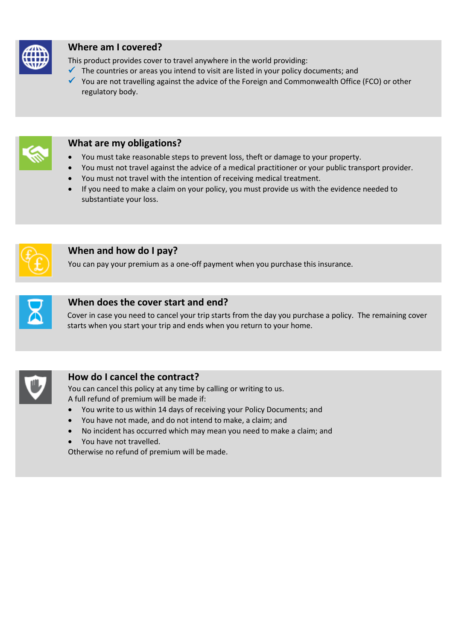

# **Where am I covered?**

This product provides cover to travel anywhere in the world providing:

- $\checkmark$  The countries or areas you intend to visit are listed in your policy documents; and
- ✓ You are not travelling against the advice of the Foreign and Commonwealth Office (FCO) or other regulatory body.



# **What are my obligations?**

- You must take reasonable steps to prevent loss, theft or damage to your property.
- You must not travel against the advice of a medical practitioner or your public transport provider.
- You must not travel with the intention of receiving medical treatment.
- If you need to make a claim on your policy, you must provide us with the evidence needed to substantiate your loss.



## **When and how do I pay?**

You can pay your premium as a one-off payment when you purchase this insurance.



## **When does the cover start and end?**

Cover in case you need to cancel your trip starts from the day you purchase a policy. The remaining cover starts when you start your trip and ends when you return to your home.



## **How do I cancel the contract?**

You can cancel this policy at any time by calling or writing to us. A full refund of premium will be made if:

- You write to us within 14 days of receiving your Policy Documents; and
- You have not made, and do not intend to make, a claim; and
- No incident has occurred which may mean you need to make a claim; and
- You have not travelled.

Otherwise no refund of premium will be made.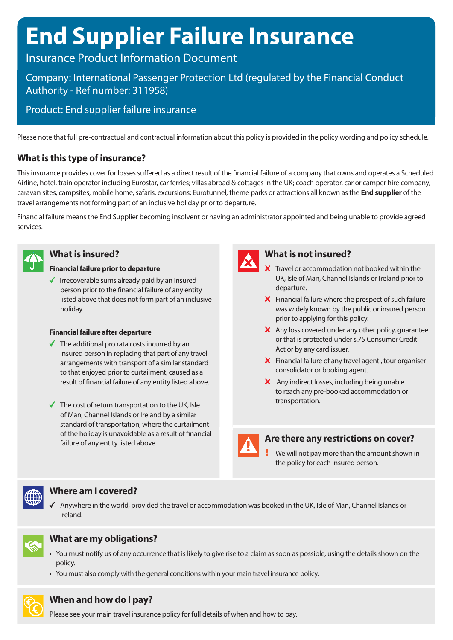# **End Supplier Failure Insurance**

# Insurance Product Information Document

# Company: International Passenger Protection Ltd (regulated by the Financial Conduct Authority - Ref number: 311958)

# Product: End supplier failure insurance

Please note that full pre-contractual and contractual information about this policy is provided in the policy wording and policy schedule.

# **What is this type of insurance?**

This insurance provides cover for losses suffered as a direct result of the financial failure of a company that owns and operates a Scheduled Airline, hotel, train operator including Eurostar, car ferries; villas abroad & cottages in the UK; coach operator, car or camper hire company, caravan sites, campsites, mobile home, safaris, excursions; Eurotunnel, theme parks or attractions all known as the **End supplier** of the travel arrangements not forming part of an inclusive holiday prior to departure.

Financial failure means the End Supplier becoming insolvent or having an administrator appointed and being unable to provide agreed services.



## **What is insured?**

## **Financial failure prior to departure**

 $\checkmark$  Irrecoverable sums already paid by an insured person prior to the financial failure of any entity listed above that does not form part of an inclusive holiday.

## **Financial failure after departure**

- $\checkmark$  The additional pro rata costs incurred by an insured person in replacing that part of any travel arrangements with transport of a similar standard to that enjoyed prior to curtailment, caused as a result of financial failure of any entity listed above.
- $\checkmark$  The cost of return transportation to the UK, Isle of Man, Channel Islands or Ireland by a similar standard of transportation, where the curtailment of the holiday is unavoidable as a result of financial failure of any entity listed above.



## **What is not insured?**

- X Travel or accommodation not booked within the UK, Isle of Man, Channel Islands or Ireland prior to departure.
- $\boldsymbol{\times}$  Financial failure where the prospect of such failure was widely known by the public or insured person prior to applying for this policy.
- $\mathsf{\times}$  Any loss covered under any other policy, quarantee or that is protected under s.75 Consumer Credit Act or by any card issuer.
- $\boldsymbol{\times}$  Financial failure of any travel agent, tour organiser consolidator or booking agent.
- X Any indirect losses, including being unable to reach any pre-booked accommodation or transportation.



## **Are there any restrictions on cover?**

We will not pay more than the amount shown in the policy for each insured person.



## **Where am I covered?**

 $\blacklozenge$  Anywhere in the world, provided the travel or accommodation was booked in the UK, Isle of Man, Channel Islands or Ireland.



# **What are my obligations?**

- You must notify us of any occurrence that is likely to give rise to a claim as soon as possible, using the details shown on the policy.
- You must also comply with the general conditions within your main travel insurance policy.



## **When and how do I pay?**

Please see your main travel insurance policy for full details of when and how to pay.